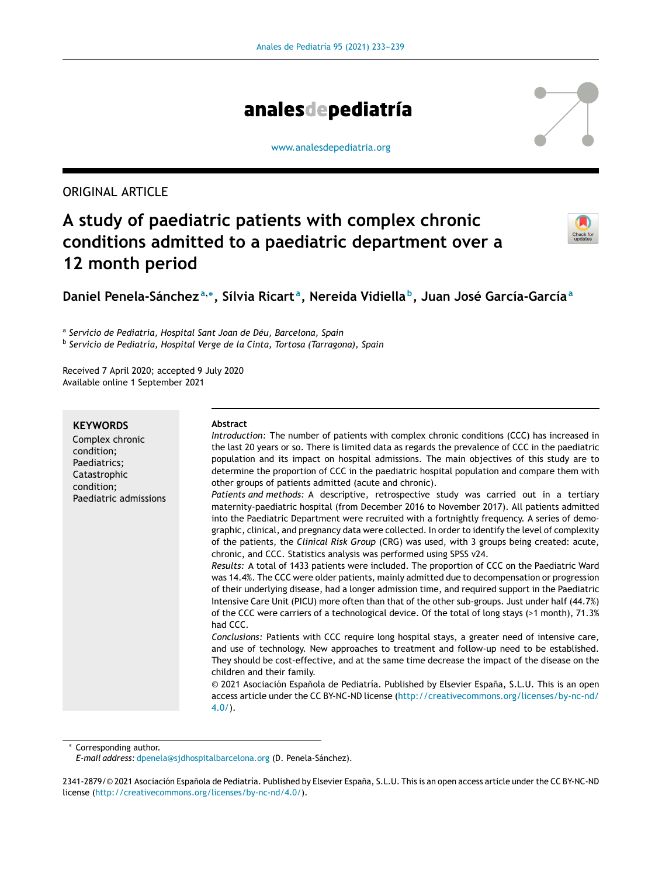

#### [www.analesdepediatria.org](http://www.analesdepediatria.org)

## ORIGINAL ARTICLE

# **A study of paediatric patients with complex chronic conditions admitted to a paediatric department over a 12 month period**



## **Daniel Penela-Sánchez <sup>a</sup>**,<sup>∗</sup> **, Sílvia Ricart <sup>a</sup> , Nereida Vidiella <sup>b</sup> , Juan José García-García<sup>a</sup>**

a *Servicio de Pediatría, Hospital Sant Joan de Déu, Barcelona, Spain* b *Servicio de Pediatría, Hospital Verge de la Cinta, Tortosa (Tarragona), Spain*

Received 7 April 2020; accepted 9 July 2020 Available online 1 September 2021

#### **KEYWORDS**

Complex chronic condition; Paediatrics; Catastrophic condition; Paediatric admissions

#### **Abstract**

*Introduction:* The number of patients with complex chronic conditions (CCC) has increased in the last 20 years or so. There is limited data as regards the prevalence of CCC in the paediatric population and its impact on hospital admissions. The main objectives of this study are to determine the proportion of CCC in the paediatric hospital population and compare them with other groups of patients admitted (acute and chronic).

*Patients and methods:* A descriptive, retrospective study was carried out in a tertiary maternity-paediatric hospital (from December 2016 to November 2017). All patients admitted into the Paediatric Department were recruited with a fortnightly frequency. A series of demographic, clinical, and pregnancy data were collected. In order to identify the level of complexity of the patients, the *Clinical Risk Group* (CRG) was used, with 3 groups being created: acute, chronic, and CCC. Statistics analysis was performed using SPSS v24.

*Results:* A total of 1433 patients were included. The proportion of CCC on the Paediatric Ward was 14.4%. The CCC were older patients, mainly admitted due to decompensation or progression of their underlying disease, had a longer admission time, and required support in the Paediatric Intensive Care Unit (PICU) more often than that of the other sub-groups. Just under half (44.7%) of the CCC were carriers of a technological device. Of the total of long stays (>1 month), 71.3% had CCC.

*Conclusions:* Patients with CCC require long hospital stays, a greater need of intensive care, and use of technology. New approaches to treatment and follow-up need to be established. They should be cost-effective, and at the same time decrease the impact of the disease on the children and their family.

© 2021 Asociación Española de Pediatría. Published by Elsevier España, S.L.U. This is an open access article under the CC BY-NC-ND license ([http://creativecommons.org/licenses/by-nc-nd/](http://creativecommons.org/licenses/by-nc-nd/4.0/) [4.0/\)](http://creativecommons.org/licenses/by-nc-nd/4.0/).

Corresponding author.

*E-mail address:* [dpenela@sjdhospitalbarcelona.org](mailto:dpenela@sjdhospitalbarcelona.org) (D. Penela-Sánchez).

<sup>2341-2879/© 2021</sup> Asociación Española de Pediatría. Published by Elsevier España, S.L.U. This is an open access article under the CC BY-NC-ND license (<http://creativecommons.org/licenses/by-nc-nd/4.0/>).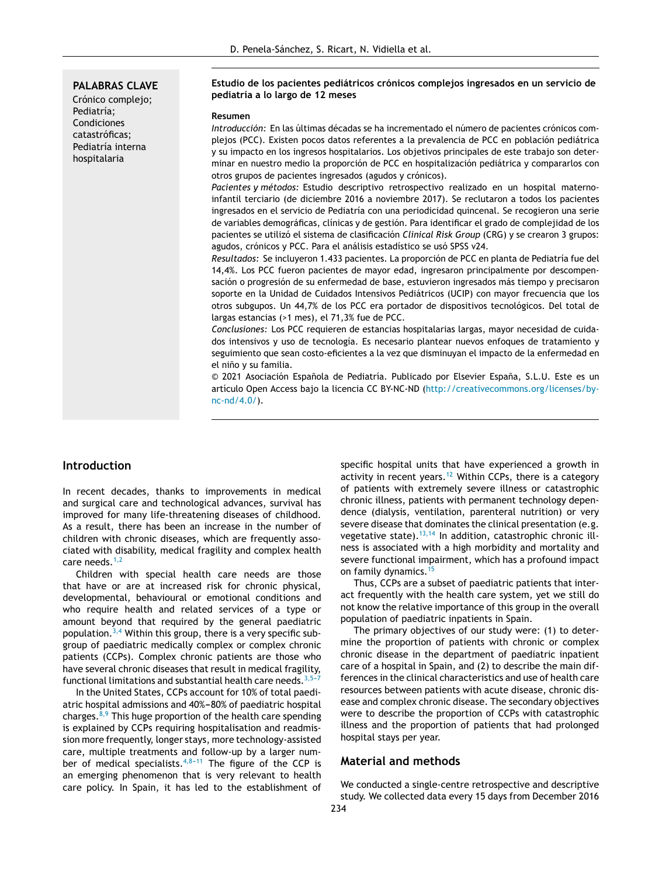#### **PALABRAS CLAVE**

Crónico complejo; Pediatría; Condiciones catastróficas; Pediatría interna hospitalaria

#### **Estudio de los pacientes pediátricos crónicos complejos ingresados en un servicio de pediatría a lo largo de 12 meses**

#### **Resumen**

*Introducción:* En las últimas décadas se ha incrementado el número de pacientes crónicos complejos (PCC). Existen pocos datos referentes a la prevalencia de PCC en población pediátrica y su impacto en los ingresos hospitalarios. Los objetivos principales de este trabajo son determinar en nuestro medio la proporción de PCC en hospitalización pediátrica y compararlos con otros grupos de pacientes ingresados (agudos y crónicos).

*Pacientes y métodos:* Estudio descriptivo retrospectivo realizado en un hospital maternoinfantil terciario (de diciembre 2016 a noviembre 2017). Se reclutaron a todos los pacientes ingresados en el servicio de Pediatría con una periodicidad quincenal. Se recogieron una serie de variables demográficas, clínicas y de gestión. Para identificar el grado de complejidad de los pacientes se utilizó el sistema de clasificación *Clinical Risk Group* (CRG) y se crearon 3 grupos: agudos, crónicos y PCC. Para el análisis estadístico se usó SPSS v24.

*Resultados:* Se incluyeron 1.433 pacientes. La proporción de PCC en planta de Pediatría fue del 14,4%. Los PCC fueron pacientes de mayor edad, ingresaron principalmente por descompensación o progresión de su enfermedad de base, estuvieron ingresados más tiempo y precisaron soporte en la Unidad de Cuidados Intensivos Pediátricos (UCIP) con mayor frecuencia que los otros subgupos. Un 44,7% de los PCC era portador de dispositivos tecnológicos. Del total de largas estancias (>1 mes), el 71,3% fue de PCC.

*Conclusiones:* Los PCC requieren de estancias hospitalarias largas, mayor necesidad de cuidados intensivos y uso de tecnología. Es necesario plantear nuevos enfoques de tratamiento y seguimiento que sean costo-eficientes a la vez que disminuyan el impacto de la enfermedad en el niño y su familia.

© 2021 Asociación Española de Pediatría. Publicado por Elsevier España, S.L.U. Este es un artículo Open Access bajo la licencia CC BY-NC-ND [\(http://creativecommons.org/licenses/by](http://creativecommons.org/licenses/by-nc-nd/4.0/)[nc-nd/4.0/](http://creativecommons.org/licenses/by-nc-nd/4.0/)).

## **Introduction**

In recent decades, thanks to improvements in medical and surgical care and technological advances, survival has improved for many life-threatening diseases of childhood. As a result, there has been an increase in the number of children with chronic diseases, which are frequently associated with disability, medical fragility and complex health care needs.<sup>[1,2](#page-6-0)</sup>

Children with special health care needs are those that have or are at increased risk for chronic physical, developmental, behavioural or emotional conditions and who require health and related services of a type or amount beyond that required by the general paediatric population. $3,4$  Within this group, there is a very specific subgroup of paediatric medically complex or complex chronic patients (CCPs). Complex chronic patients are those who have several chronic diseases that result in medical fragility, functional limitations and substantial health care needs.  $3,5-7$ 

In the United States, CCPs account for 10% of total paediatric hospital admissions and 40%-80% of paediatric hospital charges. $8,9$  This huge proportion of the health care spending is explained by CCPs requiring hospitalisation and readmission more frequently, longer stays, more technology-assisted care, multiple treatments and follow-up by a larger number of medical specialists.<sup>4,8-11</sup> The figure of the CCP is an emerging phenomenon that is very relevant to health care policy. In Spain, it has led to the establishment of specific hospital units that have experienced a growth in activity in recent years.[12](#page-6-0) Within CCPs, there is a category of patients with extremely severe illness or catastrophic chronic illness, patients with permanent technology dependence (dialysis, ventilation, parenteral nutrition) or very severe disease that dominates the clinical presentation (e.g. vegetative state). $13,14$  In addition, catastrophic chronic illness is associated with a high morbidity and mortality and severe functional impairment, which has a profound impact on family dynamics.[15](#page-6-0)

Thus, CCPs are a subset of paediatric patients that interact frequently with the health care system, yet we still do not know the relative importance of this group in the overall population of paediatric inpatients in Spain.

The primary objectives of our study were: (1) to determine the proportion of patients with chronic or complex chronic disease in the department of paediatric inpatient care of a hospital in Spain, and (2) to describe the main differences in the clinical characteristics and use of health care resources between patients with acute disease, chronic disease and complex chronic disease. The secondary objectives were to describe the proportion of CCPs with catastrophic illness and the proportion of patients that had prolonged hospital stays per year.

#### **Material and methods**

We conducted a single-centre retrospective and descriptive study. We collected data every 15 days from December 2016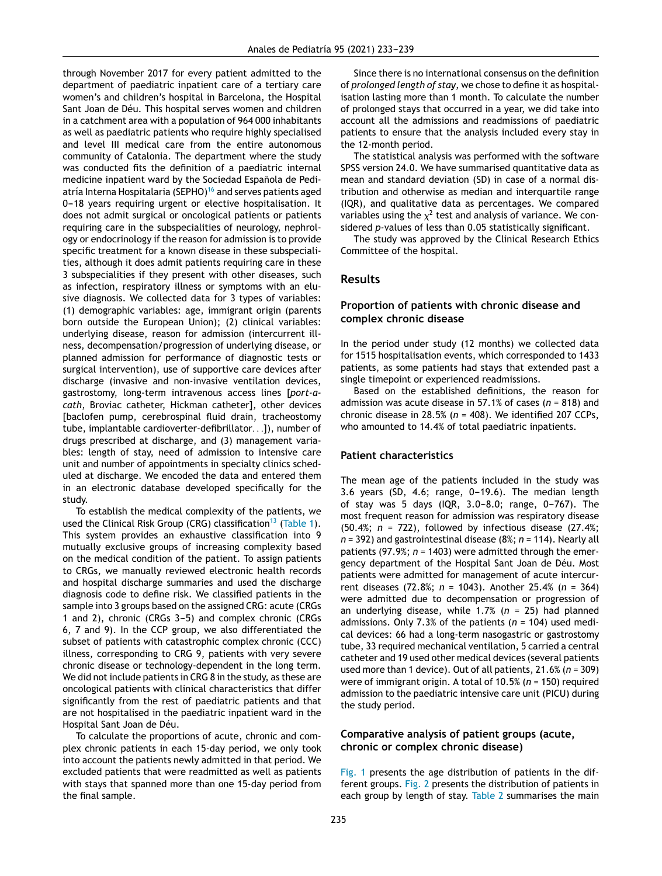through November 2017 for every patient admitted to the department of paediatric inpatient care of a tertiary care women's and children's hospital in Barcelona, the Hospital Sant Joan de Déu. This hospital serves women and children in a catchment area with a population of 964 000 inhabitants as well as paediatric patients who require highly specialised and level III medical care from the entire autonomous community of Catalonia. The department where the study was conducted fits the definition of a paediatric internal medicine inpatient ward by the Sociedad Española de Pedi-atría Interna Hospitalaria (SEPHO)<sup>[16](#page-6-0)</sup> and serves patients aged 0-18 years requiring urgent or elective hospitalisation. It does not admit surgical or oncological patients or patients requiring care in the subspecialities of neurology, nephrology or endocrinology if the reason for admission is to provide specific treatment for a known disease in these subspecialities, although it does admit patients requiring care in these 3 subspecialities if they present with other diseases, such as infection, respiratory illness or symptoms with an elusive diagnosis. We collected data for 3 types of variables: (1) demographic variables: age, immigrant origin (parents born outside the European Union); (2) clinical variables: underlying disease, reason for admission (intercurrent illness, decompensation/progression of underlying disease, or planned admission for performance of diagnostic tests or surgical intervention), use of supportive care devices after discharge (invasive and non-invasive ventilation devices, gastrostomy, long-term intravenous access lines [*port-acath*, Broviac catheter, Hickman catheter], other devices [baclofen pump, cerebrospinal fluid drain, tracheostomy tube, implantable cardioverter-defibrillator. . .]), number of drugs prescribed at discharge, and (3) management variables: length of stay, need of admission to intensive care unit and number of appointments in specialty clinics scheduled at discharge. We encoded the data and entered them in an electronic database developed specifically for the study.

To establish the medical complexity of the patients, we used the Clinical Risk Group (CRG) classification<sup>[13](#page-6-0)</sup> ([Table](#page-3-0) 1). This system provides an exhaustive classification into 9 mutually exclusive groups of increasing complexity based on the medical condition of the patient. To assign patients to CRGs, we manually reviewed electronic health records and hospital discharge summaries and used the discharge diagnosis code to define risk. We classified patients in the sample into 3 groups based on the assigned CRG: acute (CRGs 1 and 2), chronic (CRGs 3-5) and complex chronic (CRGs 6, 7 and 9). In the CCP group, we also differentiated the subset of patients with catastrophic complex chronic (CCC) illness, corresponding to CRG 9, patients with very severe chronic disease or technology-dependent in the long term. We did not include patients in CRG 8 in the study, as these are oncological patients with clinical characteristics that differ significantly from the rest of paediatric patients and that are not hospitalised in the paediatric inpatient ward in the Hospital Sant Joan de Déu.

To calculate the proportions of acute, chronic and complex chronic patients in each 15-day period, we only took into account the patients newly admitted in that period. We excluded patients that were readmitted as well as patients with stays that spanned more than one 15-day period from the final sample.

Since there is no international consensus on the definition of *prolonged length of stay*, we chose to define it as hospitalisation lasting more than 1 month. To calculate the number of prolonged stays that occurred in a year, we did take into account all the admissions and readmissions of paediatric patients to ensure that the analysis included every stay in the 12-month period.

The statistical analysis was performed with the software SPSS version 24.0. We have summarised quantitative data as mean and standard deviation (SD) in case of a normal distribution and otherwise as median and interquartile range (IQR), and qualitative data as percentages. We compared variables using the  $\chi^2$  test and analysis of variance. We considered *p-*values of less than 0.05 statistically significant.

The study was approved by the Clinical Research Ethics Committee of the hospital.

## **Results**

## **Proportion of patients with chronic disease and complex chronic disease**

In the period under study (12 months) we collected data for 1515 hospitalisation events, which corresponded to 1433 patients, as some patients had stays that extended past a single timepoint or experienced readmissions.

Based on the established definitions, the reason for admission was acute disease in 57.1% of cases (*n* = 818) and chronic disease in 28.5% (*n* = 408). We identified 207 CCPs, who amounted to 14.4% of total paediatric inpatients.

## **Patient characteristics**

The mean age of the patients included in the study was 3.6 years (SD, 4.6; range,  $0-19.6$ ). The median length of stay was 5 days (IQR,  $3.0-8.0$ ; range,  $0-767$ ). The most frequent reason for admission was respiratory disease (50.4%; *n* = 722), followed by infectious disease (27.4%; *n* = 392) and gastrointestinal disease (8%; *n* = 114). Nearly all patients (97.9%; *n* = 1403) were admitted through the emergency department of the Hospital Sant Joan de Déu. Most patients were admitted for management of acute intercurrent diseases (72.8%; *n* = 1043). Another 25.4% (*n* = 364) were admitted due to decompensation or progression of an underlying disease, while 1.7% (*n* = 25) had planned admissions. Only 7.3% of the patients (*n* = 104) used medical devices: 66 had a long-term nasogastric or gastrostomy tube, 33 required mechanical ventilation, 5 carried a central catheter and 19 used other medical devices (several patients used more than 1 device). Out of all patients, 21.6% (*n* = 309) were of immigrant origin. A total of 10.5% (*n* = 150) required admission to the paediatric intensive care unit (PICU) during the study period.

## **Comparative analysis of patient groups (acute, chronic or complex chronic disease)**

[Fig.](#page-4-0) 1 presents the age distribution of patients in the different groups. [Fig.](#page-4-0) 2 presents the distribution of patients in each group by length of stay. [Table](#page-5-0) 2 summarises the main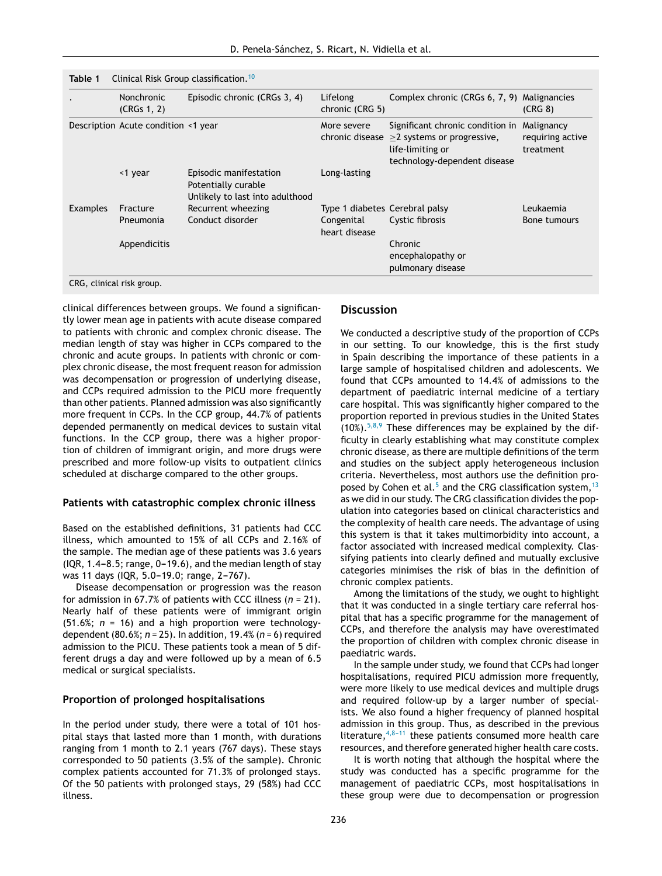| Table 1                   |                                     | Clinical Risk Group classification. <sup>10</sup>                                |                                |                                                                                                                          |                                             |
|---------------------------|-------------------------------------|----------------------------------------------------------------------------------|--------------------------------|--------------------------------------------------------------------------------------------------------------------------|---------------------------------------------|
|                           | <b>Nonchronic</b><br>(CRGs 1, 2)    | Episodic chronic (CRGs 3, 4)                                                     | Lifelong<br>chronic (CRG 5)    | Complex chronic (CRGs 6, 7, 9) Malignancies                                                                              | (CRG 8)                                     |
|                           | Description Acute condition <1 year |                                                                                  | More severe<br>chronic disease | Significant chronic condition in<br>$\geq$ 2 systems or progressive,<br>life-limiting or<br>technology-dependent disease | Malignancy<br>requiring active<br>treatment |
|                           | <1 year                             | Episodic manifestation<br>Potentially curable<br>Unlikely to last into adulthood | Long-lasting                   |                                                                                                                          |                                             |
| <b>Examples</b>           | Fracture                            | Recurrent wheezing                                                               | Type 1 diabetes Cerebral palsy |                                                                                                                          | Leukaemia                                   |
|                           | Pneumonia                           | Conduct disorder                                                                 | Congenital<br>heart disease    | Cystic fibrosis                                                                                                          | Bone tumours                                |
|                           | Appendicitis                        |                                                                                  |                                | Chronic<br>encephalopathy or<br>pulmonary disease                                                                        |                                             |
| CRG, clinical risk group. |                                     |                                                                                  |                                |                                                                                                                          |                                             |

clinical differences between groups. We found a significantly lower mean age in patients with acute disease compared to patients with chronic and complex chronic disease. The median length of stay was higher in CCPs compared to the chronic and acute groups. In patients with chronic or complex chronic disease, the most frequent reason for admission was decompensation or progression of underlying disease, and CCPs required admission to the PICU more frequently than other patients. Planned admission was also significantly more frequent in CCPs. In the CCP group, 44.7% of patients depended permanently on medical devices to sustain vital functions. In the CCP group, there was a higher proportion of children of immigrant origin, and more drugs were prescribed and more follow-up visits to outpatient clinics scheduled at discharge compared to the other groups.

<span id="page-3-0"></span>**Table 1** Clinical Risk Group classification.[10](#page-6-0)

#### **Patients with catastrophic complex chronic illness**

Based on the established definitions, 31 patients had CCC illness, which amounted to 15% of all CCPs and 2.16% of the sample. The median age of these patients was 3.6 years  $(1QR, 1.4-8.5;$  range,  $0-19.6$ ), and the median length of stay was 11 days (IQR, 5.0-19.0; range, 2-767).

Disease decompensation or progression was the reason for admission in 67.7% of patients with CCC illness (*n* = 21). Nearly half of these patients were of immigrant origin (51.6%; *n* = 16) and a high proportion were technologydependent (80.6%; *n* = 25). In addition, 19.4% (*n* = 6) required admission to the PICU. These patients took a mean of 5 different drugs a day and were followed up by a mean of 6.5 medical or surgical specialists.

## **Proportion of prolonged hospitalisations**

In the period under study, there were a total of 101 hospital stays that lasted more than 1 month, with durations ranging from 1 month to 2.1 years (767 days). These stays corresponded to 50 patients (3.5% of the sample). Chronic complex patients accounted for 71.3% of prolonged stays. Of the 50 patients with prolonged stays, 29 (58%) had CCC illness.

## **Discussion**

We conducted a descriptive study of the proportion of CCPs in our setting. To our knowledge, this is the first study in Spain describing the importance of these patients in a large sample of hospitalised children and adolescents. We found that CCPs amounted to 14.4% of admissions to the department of paediatric internal medicine of a tertiary care hospital. This was significantly higher compared to the proportion reported in previous studies in the United States  $(10\%)$ .<sup>[5,8,9](#page-6-0)</sup> These differences may be explained by the difficulty in clearly establishing what may constitute complex chronic disease, as there are multiple definitions of the term and studies on the subject apply heterogeneous inclusion criteria. Nevertheless, most authors use the definition pro-posed by Cohen et al.<sup>[5](#page-6-0)</sup> and the CRG classification system,  $13$ as we did in our study. The CRG classification divides the population into categories based on clinical characteristics and the complexity of health care needs. The advantage of using this system is that it takes multimorbidity into account, a factor associated with increased medical complexity. Classifying patients into clearly defined and mutually exclusive categories minimises the risk of bias in the definition of chronic complex patients.

Among the limitations of the study, we ought to highlight that it was conducted in a single tertiary care referral hospital that has a specific programme for the management of CCPs, and therefore the analysis may have overestimated the proportion of children with complex chronic disease in paediatric wards.

In the sample under study, we found that CCPs had longer hospitalisations, required PICU admission more frequently, were more likely to use medical devices and multiple drugs and required follow-up by a larger number of specialists. We also found a higher frequency of planned hospital admission in this group. Thus, as described in the previous literature,  $4,8-11$  these patients consumed more health care resources, and therefore generated higher health care costs.

It is worth noting that although the hospital where the study was conducted has a specific programme for the management of paediatric CCPs, most hospitalisations in these group were due to decompensation or progression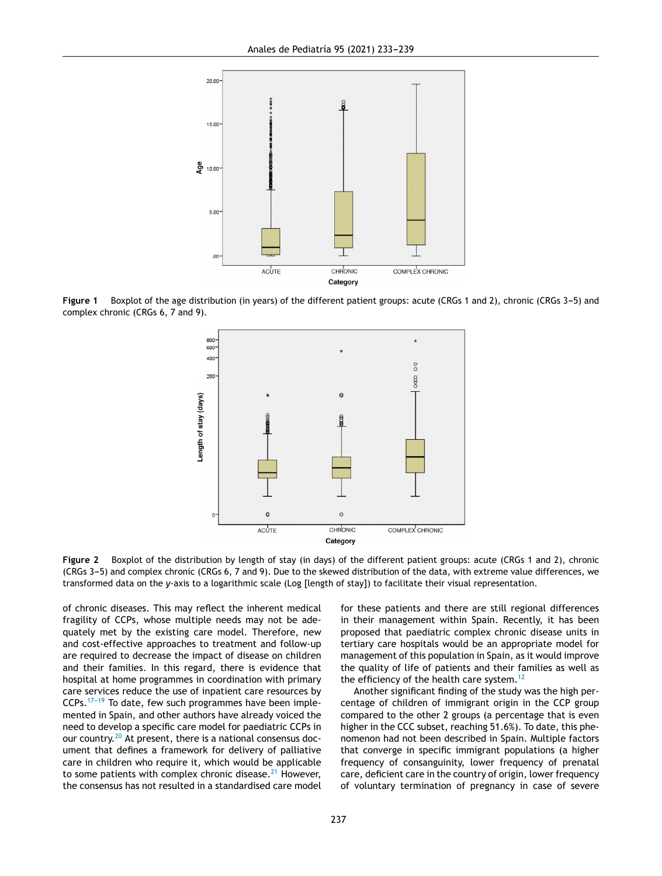<span id="page-4-0"></span>

Figure 1 Boxplot of the age distribution (in years) of the different patient groups: acute (CRGs 1 and 2), chronic (CRGs 3-5) and complex chronic (CRGs 6, 7 and 9).



**Figure 2** Boxplot of the distribution by length of stay (in days) of the different patient groups: acute (CRGs 1 and 2), chronic (CRGs 3-5) and complex chronic (CRGs 6, 7 and 9). Due to the skewed distribution of the data, with extreme value differences, we transformed data on the *y*-axis to a logarithmic scale (Log [length of stay]) to facilitate their visual representation.

of chronic diseases. This may reflect the inherent medical fragility of CCPs, whose multiple needs may not be adequately met by the existing care model. Therefore, new and cost-effective approaches to treatment and follow-up are required to decrease the impact of disease on children and their families. In this regard, there is evidence that hospital at home programmes in coordination with primary care services reduce the use of inpatient care resources by  $CCPs.$ <sup>17-19</sup> To date, few such programmes have been implemented in Spain, and other authors have already voiced the need to develop a specific care model for paediatric CCPs in our country.<sup>[20](#page-6-0)</sup> At present, there is a national consensus document that defines a framework for delivery of palliative care in children who require it, which would be applicable to some patients with complex chronic disease. $21$  However, the consensus has not resulted in a standardised care model

for these patients and there are still regional differences in their management within Spain. Recently, it has been proposed that paediatric complex chronic disease units in tertiary care hospitals would be an appropriate model for management of this population in Spain, as it would improve the quality of life of patients and their families as well as the efficiency of the health care system.<sup>[12](#page-6-0)</sup>

Another significant finding of the study was the high percentage of children of immigrant origin in the CCP group compared to the other 2 groups (a percentage that is even higher in the CCC subset, reaching 51.6%). To date, this phenomenon had not been described in Spain. Multiple factors that converge in specific immigrant populations (a higher frequency of consanguinity, lower frequency of prenatal care, deficient care in the country of origin, lower frequency of voluntary termination of pregnancy in case of severe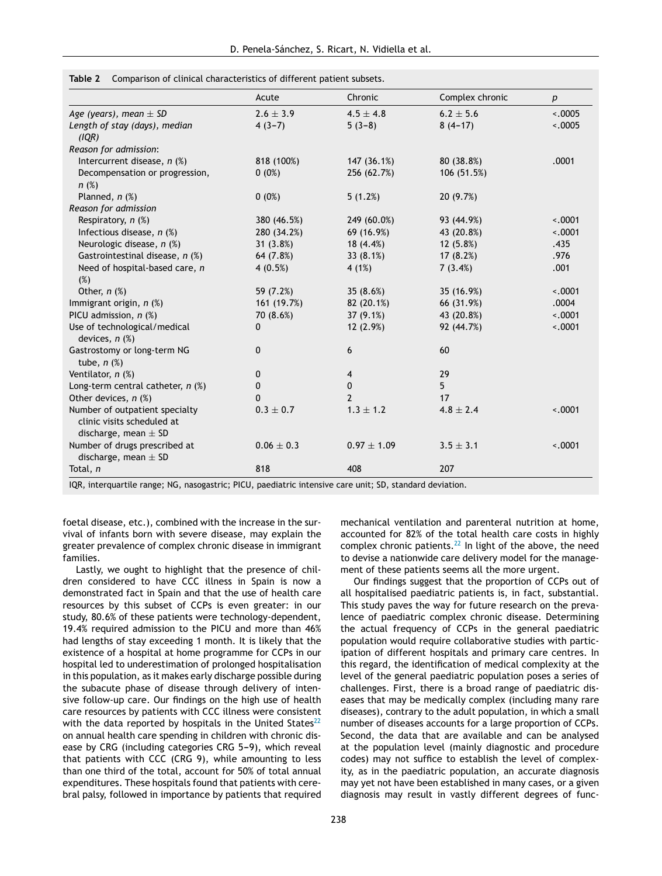|                                                                                          | Acute          | Chronic         | Complex chronic | р        |
|------------------------------------------------------------------------------------------|----------------|-----------------|-----------------|----------|
| Age (years), mean $\pm$ SD                                                               | $2.6 \pm 3.9$  | $4.5 \pm 4.8$   | $6.2 \pm 5.6$   | $-.0005$ |
| Length of stay (days), median<br>(IQR)                                                   | $4(3-7)$       | $5(3-8)$        | $8(4-17)$       | < .0005  |
| Reason for admission:                                                                    |                |                 |                 |          |
| Intercurrent disease, $n$ (%)                                                            | 818 (100%)     | 147 (36.1%)     | 80 (38.8%)      | .0001    |
| Decompensation or progression,<br>$n$ (%)                                                | $0(0\%)$       | 256 (62.7%)     | 106 (51.5%)     |          |
| Planned, $n$ $(\%)$                                                                      | $0(0\%)$       | 5(1.2%)         | 20(9.7%)        |          |
| Reason for admission                                                                     |                |                 |                 |          |
| Respiratory, $n$ (%)                                                                     | 380 (46.5%)    | 249 (60.0%)     | 93 (44.9%)      | $-.0001$ |
| Infectious disease, $n$ (%)                                                              | 280 (34.2%)    | 69 (16.9%)      | 43 (20.8%)      | $-.0001$ |
| Neurologic disease, n (%)                                                                | 31(3.8%)       | 18(4.4%)        | 12(5.8%)        | .435     |
| Gastrointestinal disease, n (%)                                                          | 64 (7.8%)      | 33 $(8.1%)$     | 17(8.2%)        | .976     |
| Need of hospital-based care, n<br>(%)                                                    | $4(0.5\%)$     | 4(1%)           | 7(3.4%)         | .001     |
| Other, $n$ $%$                                                                           | 59 (7.2%)      | 35 $(8.6%)$     | 35 (16.9%)      | $-.0001$ |
| Immigrant origin, $n$ (%)                                                                | 161 (19.7%)    | 82 (20.1%)      | 66 (31.9%)      | .0004    |
| PICU admission, $n$ (%)                                                                  | 70 (8.6%)      | $37(9.1\%)$     | 43 (20.8%)      | $-.0001$ |
| Use of technological/medical<br>devices, $n$ $%$                                         | 0              | 12(2.9%)        | 92 (44.7%)      | $-.0001$ |
| Gastrostomy or long-term NG<br>tube, $n$ $%$                                             | 0              | 6               | 60              |          |
| Ventilator, n (%)                                                                        | 0              | 4               | 29              |          |
| Long-term central catheter, $n$ (%)                                                      | $\mathbf 0$    | 0               | 5               |          |
| Other devices, $n$ (%)                                                                   | 0              | $\overline{2}$  | 17              |          |
| Number of outpatient specialty<br>clinic visits scheduled at<br>discharge, mean $\pm$ SD | $0.3 \pm 0.7$  | $1.3 \pm 1.2$   | $4.8 \pm 2.4$   | $-.0001$ |
| Number of drugs prescribed at<br>discharge, mean $\pm$ SD                                | $0.06 \pm 0.3$ | $0.97 \pm 1.09$ | $3.5 \pm 3.1$   | $-.0001$ |
| Total, n                                                                                 | 818            | 408             | 207             |          |

<span id="page-5-0"></span>**Table 2** Comparison of clinical characteristics of different patient subsets.

IQR, interquartile range; NG, nasogastric; PICU, paediatric intensive care unit; SD, standard deviation.

foetal disease, etc.), combined with the increase in the survival of infants born with severe disease, may explain the greater prevalence of complex chronic disease in immigrant families.

Lastly, we ought to highlight that the presence of children considered to have CCC illness in Spain is now a demonstrated fact in Spain and that the use of health care resources by this subset of CCPs is even greater: in our study, 80.6% of these patients were technology-dependent, 19.4% required admission to the PICU and more than 46% had lengths of stay exceeding 1 month. It is likely that the existence of a hospital at home programme for CCPs in our hospital led to underestimation of prolonged hospitalisation in this population, as it makes early discharge possible during the subacute phase of disease through delivery of intensive follow-up care. Our findings on the high use of health care resources by patients with CCC illness were consistent with the data reported by hospitals in the United States<sup>[22](#page-6-0)</sup> on annual health care spending in children with chronic disease by CRG (including categories CRG 5-9), which reveal that patients with CCC (CRG 9), while amounting to less than one third of the total, account for 50% of total annual expenditures. These hospitals found that patients with cerebral palsy, followed in importance by patients that required mechanical ventilation and parenteral nutrition at home, accounted for 82% of the total health care costs in highly complex chronic patients. $^{22}$  $^{22}$  $^{22}$  In light of the above, the need to devise a nationwide care delivery model for the management of these patients seems all the more urgent.

Our findings suggest that the proportion of CCPs out of all hospitalised paediatric patients is, in fact, substantial. This study paves the way for future research on the prevalence of paediatric complex chronic disease. Determining the actual frequency of CCPs in the general paediatric population would require collaborative studies with participation of different hospitals and primary care centres. In this regard, the identification of medical complexity at the level of the general paediatric population poses a series of challenges. First, there is a broad range of paediatric diseases that may be medically complex (including many rare diseases), contrary to the adult population, in which a small number of diseases accounts for a large proportion of CCPs. Second, the data that are available and can be analysed at the population level (mainly diagnostic and procedure codes) may not suffice to establish the level of complexity, as in the paediatric population, an accurate diagnosis may yet not have been established in many cases, or a given diagnosis may result in vastly different degrees of func